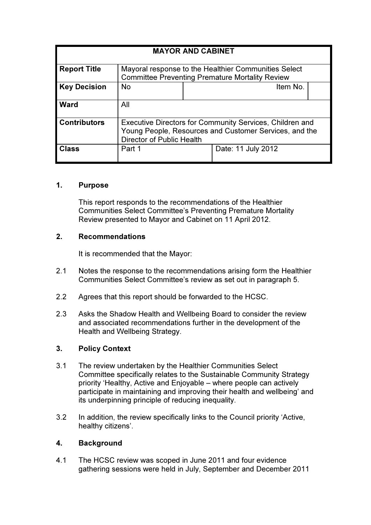| <b>MAYOR AND CABINET</b> |                                                                                                                                                 |  |                    |  |  |  |  |
|--------------------------|-------------------------------------------------------------------------------------------------------------------------------------------------|--|--------------------|--|--|--|--|
| <b>Report Title</b>      | Mayoral response to the Healthier Communities Select<br><b>Committee Preventing Premature Mortality Review</b>                                  |  |                    |  |  |  |  |
| <b>Key Decision</b>      | <b>No</b>                                                                                                                                       |  | Item No.           |  |  |  |  |
| <b>Ward</b>              | All                                                                                                                                             |  |                    |  |  |  |  |
| <b>Contributors</b>      | Executive Directors for Community Services, Children and<br>Young People, Resources and Customer Services, and the<br>Director of Public Health |  |                    |  |  |  |  |
| <b>Class</b>             | Part 1                                                                                                                                          |  | Date: 11 July 2012 |  |  |  |  |

# 1. Purpose

This report responds to the recommendations of the Healthier Communities Select Committee's Preventing Premature Mortality Review presented to Mayor and Cabinet on 11 April 2012.

# 2. Recommendations

It is recommended that the Mayor:

- 2.1 Notes the response to the recommendations arising form the Healthier Communities Select Committee's review as set out in paragraph 5.
- 2.2 Agrees that this report should be forwarded to the HCSC.
- 2.3 Asks the Shadow Health and Wellbeing Board to consider the review and associated recommendations further in the development of the Health and Wellbeing Strategy.

# 3. Policy Context

- 3.1 The review undertaken by the Healthier Communities Select Committee specifically relates to the Sustainable Community Strategy priority 'Healthy, Active and Enjoyable – where people can actively participate in maintaining and improving their health and wellbeing' and its underpinning principle of reducing inequality.
- 3.2 In addition, the review specifically links to the Council priority 'Active, healthy citizens'.

# 4. Background

4.1 The HCSC review was scoped in June 2011 and four evidence gathering sessions were held in July, September and December 2011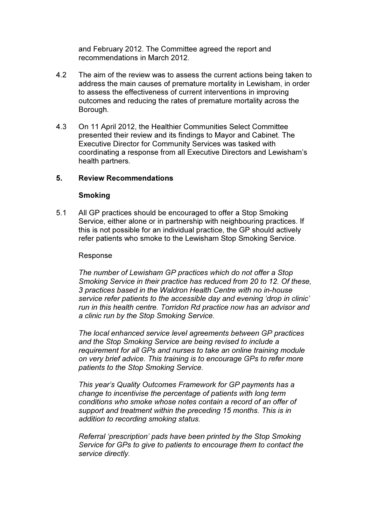and February 2012. The Committee agreed the report and recommendations in March 2012.

- 4.2 The aim of the review was to assess the current actions being taken to address the main causes of premature mortality in Lewisham, in order to assess the effectiveness of current interventions in improving outcomes and reducing the rates of premature mortality across the Borough.
- 4.3 On 11 April 2012, the Healthier Communities Select Committee presented their review and its findings to Mayor and Cabinet. The Executive Director for Community Services was tasked with coordinating a response from all Executive Directors and Lewisham's health partners.

# 5. Review Recommendations

## Smoking

5.1 All GP practices should be encouraged to offer a Stop Smoking Service, either alone or in partnership with neighbouring practices. If this is not possible for an individual practice, the GP should actively refer patients who smoke to the Lewisham Stop Smoking Service.

## Response

*The number of Lewisham GP practices which do not offer a Stop Smoking Service in their practice has reduced from 20 to 12. Of these, 3 practices based in the Waldron Health Centre with no in-house service refer patients to the accessible day and evening 'drop in clinic' run in this health centre. Torridon Rd practice now has an advisor and a clinic run by the Stop Smoking Service.* 

*The local enhanced service level agreements between GP practices and the Stop Smoking Service are being revised to include a requirement for all GPs and nurses to take an online training module on very brief advice. This training is to encourage GPs to refer more patients to the Stop Smoking Service.* 

*This year's Quality Outcomes Framework for GP payments has a change to incentivise the percentage of patients with long term conditions who smoke whose notes contain a record of an offer of support and treatment within the preceding 15 months. This is in addition to recording smoking status.* 

*Referral 'prescription' pads have been printed by the Stop Smoking Service for GPs to give to patients to encourage them to contact the service directly.*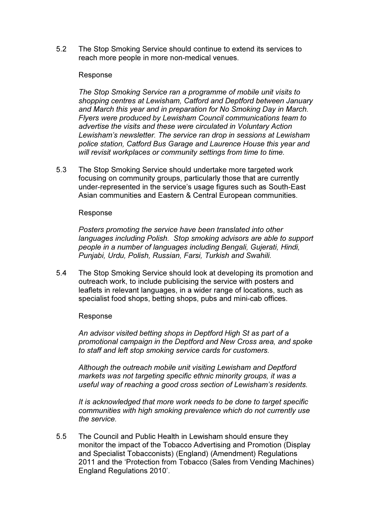5.2 The Stop Smoking Service should continue to extend its services to reach more people in more non-medical venues.

## Response

*The Stop Smoking Service ran a programme of mobile unit visits to shopping centres at Lewisham, Catford and Deptford between January and March this year and in preparation for No Smoking Day in March. Flyers were produced by Lewisham Council communications team to advertise the visits and these were circulated in Voluntary Action Lewisham's newsletter. The service ran drop in sessions at Lewisham police station, Catford Bus Garage and Laurence House this year and will revisit workplaces or community settings from time to time.*

5.3 The Stop Smoking Service should undertake more targeted work focusing on community groups, particularly those that are currently under-represented in the service's usage figures such as South-East Asian communities and Eastern & Central European communities.

## Response

*Posters promoting the service have been translated into other languages including Polish. Stop smoking advisors are able to support people in a number of languages including Bengali, Gujerati, Hindi, Punjabi, Urdu, Polish, Russian, Farsi, Turkish and Swahili.* 

5.4 The Stop Smoking Service should look at developing its promotion and outreach work, to include publicising the service with posters and leaflets in relevant languages, in a wider range of locations, such as specialist food shops, betting shops, pubs and mini-cab offices.

# Response

*An advisor visited betting shops in Deptford High St as part of a promotional campaign in the Deptford and New Cross area, and spoke to staff and left stop smoking service cards for customers.* 

*Although the outreach mobile unit visiting Lewisham and Deptford markets was not targeting specific ethnic minority groups, it was a useful way of reaching a good cross section of Lewisham's residents.* 

*It is acknowledged that more work needs to be done to target specific communities with high smoking prevalence which do not currently use the service.* 

5.5 The Council and Public Health in Lewisham should ensure they monitor the impact of the Tobacco Advertising and Promotion (Display and Specialist Tobacconists) (England) (Amendment) Regulations 2011 and the 'Protection from Tobacco (Sales from Vending Machines) England Regulations 2010'.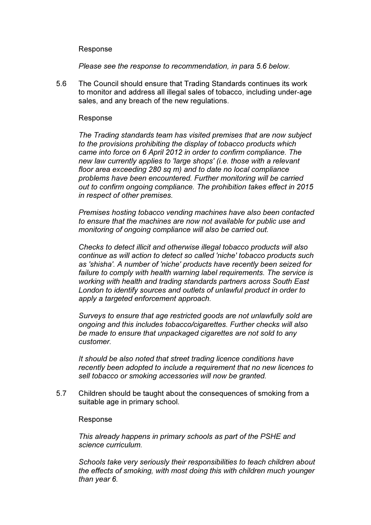## Response

*Please see the response to recommendation, in para 5.6 below.* 

5.6 The Council should ensure that Trading Standards continues its work to monitor and address all illegal sales of tobacco, including under-age sales, and any breach of the new regulations.

#### Response

*The Trading standards team has visited premises that are now subject to the provisions prohibiting the display of tobacco products which came into force on 6 April 2012 in order to confirm compliance. The new law currently applies to 'large shops' (i.e. those with a relevant floor area exceeding 280 sq m) and to date no local compliance problems have been encountered. Further monitoring will be carried out to confirm ongoing compliance. The prohibition takes effect in 2015 in respect of other premises.* 

*Premises hosting tobacco vending machines have also been contacted to ensure that the machines are now not available for public use and monitoring of ongoing compliance will also be carried out.* 

*Checks to detect illicit and otherwise illegal tobacco products will also continue as will action to detect so called 'niche' tobacco products such as 'shisha'. A number of 'niche' products have recently been seized for failure to comply with health warning label requirements. The service is working with health and trading standards partners across South East London to identify sources and outlets of unlawful product in order to apply a targeted enforcement approach.* 

*Surveys to ensure that age restricted goods are not unlawfully sold are ongoing and this includes tobacco/cigarettes. Further checks will also be made to ensure that unpackaged cigarettes are not sold to any customer.* 

*It should be also noted that street trading licence conditions have recently been adopted to include a requirement that no new licences to sell tobacco or smoking accessories will now be granted.* 

5.7 Children should be taught about the consequences of smoking from a suitable age in primary school.

#### Response

*This already happens in primary schools as part of the PSHE and science curriculum.* 

*Schools take very seriously their responsibilities to teach children about the effects of smoking, with most doing this with children much younger than year 6.*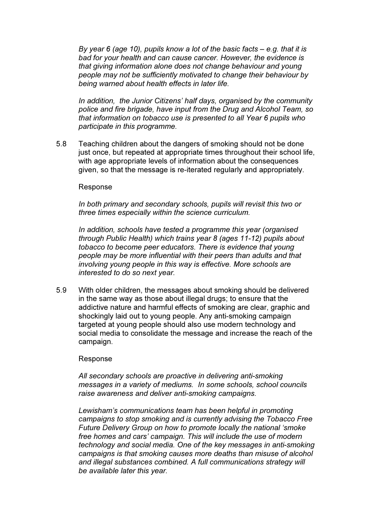*By year 6 (age 10), pupils know a lot of the basic facts – e.g. that it is bad for your health and can cause cancer. However, the evidence is that giving information alone does not change behaviour and young people may not be sufficiently motivated to change their behaviour by being warned about health effects in later life.* 

*In addition, the Junior Citizens' half days, organised by the community police and fire brigade, have input from the Drug and Alcohol Team, so that information on tobacco use is presented to all Year 6 pupils who participate in this programme.* 

5.8 Teaching children about the dangers of smoking should not be done just once, but repeated at appropriate times throughout their school life, with age appropriate levels of information about the consequences given, so that the message is re-iterated regularly and appropriately.

#### Response

*In both primary and secondary schools, pupils will revisit this two or three times especially within the science curriculum.* 

*In addition, schools have tested a programme this year (organised through Public Health) which trains year 8 (ages 11-12) pupils about tobacco to become peer educators. There is evidence that young people may be more influential with their peers than adults and that involving young people in this way is effective. More schools are interested to do so next year.* 

5.9 With older children, the messages about smoking should be delivered in the same way as those about illegal drugs; to ensure that the addictive nature and harmful effects of smoking are clear, graphic and shockingly laid out to young people. Any anti-smoking campaign targeted at young people should also use modern technology and social media to consolidate the message and increase the reach of the campaign.

#### Response

*All secondary schools are proactive in delivering anti-smoking messages in a variety of mediums. In some schools, school councils raise awareness and deliver anti-smoking campaigns.* 

*Lewisham's communications team has been helpful in promoting campaigns to stop smoking and is currently advising the Tobacco Free Future Delivery Group on how to promote locally the national 'smoke free homes and cars' campaign. This will include the use of modern technology and social media. One of the key messages in anti-smoking campaigns is that smoking causes more deaths than misuse of alcohol and illegal substances combined. A full communications strategy will be available later this year.*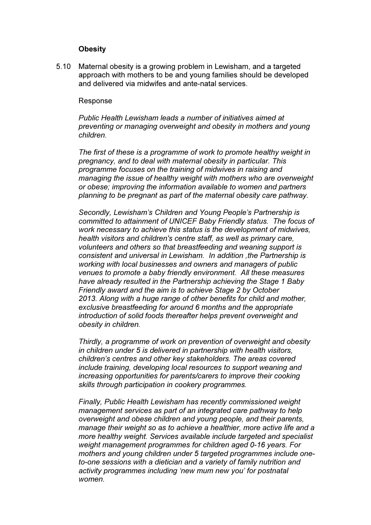## **Obesity**

5.10 Maternal obesity is a growing problem in Lewisham, and a targeted approach with mothers to be and young families should be developed and delivered via midwifes and ante-natal services.

### Response

*Public Health Lewisham leads a number of initiatives aimed at preventing or managing overweight and obesity in mothers and young children.* 

*The first of these is a programme of work to promote healthy weight in pregnancy, and to deal with maternal obesity in particular. This programme focuses on the training of midwives in raising and managing the issue of healthy weight with mothers who are overweight or obese; improving the information available to women and partners planning to be pregnant as part of the maternal obesity care pathway.* 

*Secondly, Lewisham's Children and Young People's Partnership is committed to attainment of UNICEF Baby Friendly status. The focus of work necessary to achieve this status is the development of midwives, health visitors and children's centre staff, as well as primary care, volunteers and others so that breastfeeding and weaning support is consistent and universal in Lewisham. In addition ,the Partnership is working with local businesses and owners and managers of public venues to promote a baby friendly environment. All these measures have already resulted in the Partnership achieving the Stage 1 Baby Friendly award and the aim is to achieve Stage 2 by October 2013. Along with a huge range of other benefits for child and mother, exclusive breastfeeding for around 6 months and the appropriate introduction of solid foods thereafter helps prevent overweight and obesity in children.* 

*Thirdly, a programme of work on prevention of overweight and obesity in children under 5 is delivered in partnership with health visitors, children's centres and other key stakeholders. The areas covered include training, developing local resources to support weaning and increasing opportunities for parents/carers to improve their cooking skills through participation in cookery programmes.* 

*Finally, Public Health Lewisham has recently commissioned weight management services as part of an integrated care pathway to help overweight and obese children and young people, and their parents, manage their weight so as to achieve a healthier, more active life and a more healthy weight. Services available include targeted and specialist weight management programmes for children aged 0-16 years. For mothers and young children under 5 targeted programmes include oneto-one sessions with a dietician and a variety of family nutrition and activity programmes including 'new mum new you' for postnatal women.*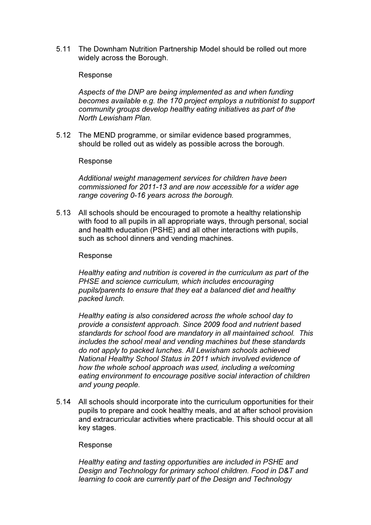5.11 The Downham Nutrition Partnership Model should be rolled out more widely across the Borough.

## Response

*Aspects of the DNP are being implemented as and when funding becomes available e.g. the 170 project employs a nutritionist to support community groups develop healthy eating initiatives as part of the North Lewisham Plan.* 

5.12 The MEND programme, or similar evidence based programmes, should be rolled out as widely as possible across the borough.

## Response

*Additional weight management services for children have been commissioned for 2011-13 and are now accessible for a wider age range covering 0-16 years across the borough.* 

5.13 All schools should be encouraged to promote a healthy relationship with food to all pupils in all appropriate ways, through personal, social and health education (PSHE) and all other interactions with pupils, such as school dinners and vending machines.

## Response

*Healthy eating and nutrition is covered in the curriculum as part of the PHSE and science curriculum, which includes encouraging pupils/parents to ensure that they eat a balanced diet and healthy packed lunch.* 

*Healthy eating is also considered across the whole school day to provide a consistent approach. Since 2009 food and nutrient based standards for school food are mandatory in all maintained school. This includes the school meal and vending machines but these standards do not apply to packed lunches. All Lewisham schools achieved National Healthy School Status in 2011 which involved evidence of how the whole school approach was used, including a welcoming eating environment to encourage positive social interaction of children and young people.* 

5.14 All schools should incorporate into the curriculum opportunities for their pupils to prepare and cook healthy meals, and at after school provision and extracurricular activities where practicable. This should occur at all key stages.

## Response

*Healthy eating and tasting opportunities are included in PSHE and Design and Technology for primary school children. Food in D&T and learning to cook are currently part of the Design and Technology*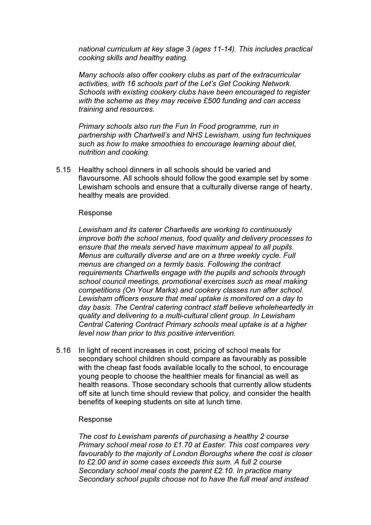*national curriculum at key stage 3 (ages 11-14). This includes practical cooking skills and healthy eating.* 

*Many schools also offer cookery clubs as part of the extracurricular activities, with 16 schools part of the Let's Get Cooking Network. Schools with existing cookery clubs have been encouraged to register with the scheme as they may receive £500 funding and can access training and resources.* 

*Primary schools also run the Fun In Food programme, run in partnership with Chartwell's and NHS Lewisham, using fun techniques such as how to make smoothies to encourage learning about diet, nutrition and cooking.* 

5.15 Healthy school dinners in all schools should be varied and flavoursome. All schools should follow the good example set by some Lewisham schools and ensure that a culturally diverse range of hearty, healthy meals are provided.

#### Response

*Lewisham and its caterer Chartwells are working to continuously improve both the school menus, food quality and delivery processes to ensure that the meals served have maximum appeal to all pupils. Menus are culturally diverse and are on a three weekly cycle. Full menus are changed on a termly basis. Following the contract requirements Chartwells engage with the pupils and schools through school council meetings, promotional exercises such as meal making competitions (On Your Marks) and cookery classes run after school. Lewisham officers ensure that meal uptake is monitored on a day to day basis. The Central catering contract staff believe wholeheartedly in quality and delivering to a multi-cultural client group. In Lewisham Central Catering Contract Primary schools meal uptake is at a higher level now than prior to this positive intervention.* 

5.16 In light of recent increases in cost, pricing of school meals for secondary school children should compare as favourably as possible with the cheap fast foods available locally to the school, to encourage young people to choose the healthier meals for financial as well as health reasons. Those secondary schools that currently allow students off site at lunch time should review that policy, and consider the health benefits of keeping students on site at lunch time.

## Response

*The cost to Lewisham parents of purchasing a healthy 2 course Primary school meal rose to £1.70 at Easter. This cost compares very favourably to the majority of London Boroughs where the cost is closer to £2.00 and in some cases exceeds this sum. A full 2 course Secondary school meal costs the parent £2.10. In practice many Secondary school pupils choose not to have the full meal and instead*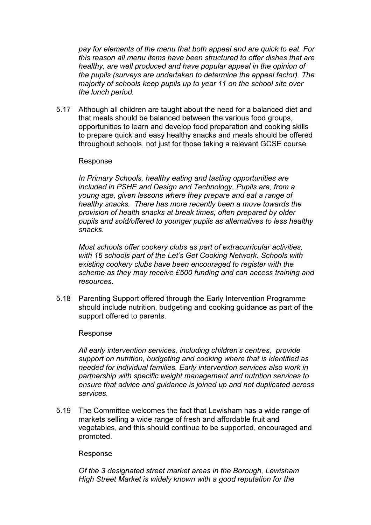*pay for elements of the menu that both appeal and are quick to eat. For this reason all menu items have been structured to offer dishes that are healthy, are well produced and have popular appeal in the opinion of the pupils (surveys are undertaken to determine the appeal factor). The majority of schools keep pupils up to year 11 on the school site over the lunch period.* 

5.17 Although all children are taught about the need for a balanced diet and that meals should be balanced between the various food groups, opportunities to learn and develop food preparation and cooking skills to prepare quick and easy healthy snacks and meals should be offered throughout schools, not just for those taking a relevant GCSE course.

## Response

*In Primary Schools, healthy eating and tasting opportunities are included in PSHE and Design and Technology. Pupils are, from a young age, given lessons where they prepare and eat a range of healthy snacks. There has more recently been a move towards the provision of health snacks at break times, often prepared by older pupils and sold/offered to younger pupils as alternatives to less healthy snacks.* 

*Most schools offer cookery clubs as part of extracurricular activities, with 16 schools part of the Let's Get Cooking Network. Schools with existing cookery clubs have been encouraged to register with the scheme as they may receive £500 funding and can access training and resources.* 

5.18 Parenting Support offered through the Early Intervention Programme should include nutrition, budgeting and cooking guidance as part of the support offered to parents.

## Response

*All early intervention services, including children's centres, provide support on nutrition, budgeting and cooking where that is identified as needed for individual families. Early intervention services also work in partnership with specific weight management and nutrition services to ensure that advice and guidance is joined up and not duplicated across services.* 

5.19 The Committee welcomes the fact that Lewisham has a wide range of markets selling a wide range of fresh and affordable fruit and vegetables, and this should continue to be supported, encouraged and promoted.

## Response

*Of the 3 designated street market areas in the Borough, Lewisham High Street Market is widely known with a good reputation for the*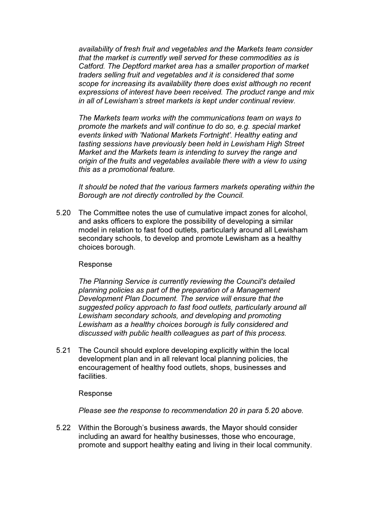*availability of fresh fruit and vegetables and the Markets team consider that the market is currently well served for these commodities as is Catford. The Deptford market area has a smaller proportion of market traders selling fruit and vegetables and it is considered that some scope for increasing its availability there does exist although no recent expressions of interest have been received. The product range and mix in all of Lewisham's street markets is kept under continual review.* 

*The Markets team works with the communications team on ways to promote the markets and will continue to do so, e.g. special market events linked with 'National Markets Fortnight'. Healthy eating and tasting sessions have previously been held in Lewisham High Street Market and the Markets team is intending to survey the range and origin of the fruits and vegetables available there with a view to using this as a promotional feature.* 

*It should be noted that the various farmers markets operating within the Borough are not directly controlled by the Council.* 

5.20 The Committee notes the use of cumulative impact zones for alcohol, and asks officers to explore the possibility of developing a similar model in relation to fast food outlets, particularly around all Lewisham secondary schools, to develop and promote Lewisham as a healthy choices borough.

#### Response

*The Planning Service is currently reviewing the Council's detailed planning policies as part of the preparation of a Management Development Plan Document. The service will ensure that the suggested policy approach to fast food outlets, particularly around all Lewisham secondary schools, and developing and promoting Lewisham as a healthy choices borough is fully considered and discussed with public health colleagues as part of this process.* 

5.21 The Council should explore developing explicitly within the local development plan and in all relevant local planning policies, the encouragement of healthy food outlets, shops, businesses and facilities.

#### Response

*Please see the response to recommendation 20 in para 5.20 above.* 

5.22 Within the Borough's business awards, the Mayor should consider including an award for healthy businesses, those who encourage, promote and support healthy eating and living in their local community.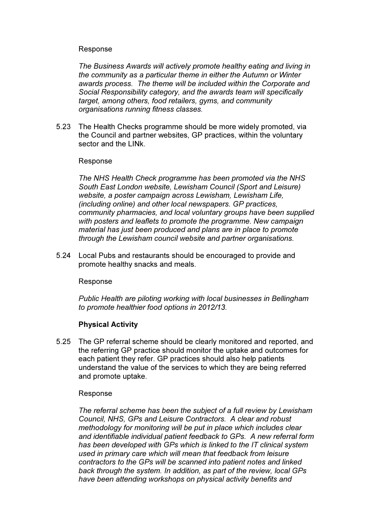## Response

*The Business Awards will actively promote healthy eating and living in the community as a particular theme in either the Autumn or Winter awards process. The theme will be included within the Corporate and Social Responsibility category, and the awards team will specifically target, among others, food retailers, gyms, and community organisations running fitness classes.*

5.23 The Health Checks programme should be more widely promoted, via the Council and partner websites, GP practices, within the voluntary sector and the LINk.

## Response

*The NHS Health Check programme has been promoted via the NHS South East London website, Lewisham Council (Sport and Leisure) website, a poster campaign across Lewisham, Lewisham Life, (including online) and other local newspapers. GP practices, community pharmacies, and local voluntary groups have been supplied with posters and leaflets to promote the programme. New campaign material has just been produced and plans are in place to promote through the Lewisham council website and partner organisations.* 

5.24 Local Pubs and restaurants should be encouraged to provide and promote healthy snacks and meals.

# Response

*Public Health are piloting working with local businesses in Bellingham to promote healthier food options in 2012/13.* 

# Physical Activity

5.25 The GP referral scheme should be clearly monitored and reported, and the referring GP practice should monitor the uptake and outcomes for each patient they refer. GP practices should also help patients understand the value of the services to which they are being referred and promote uptake.

## Response

*The referral scheme has been the subject of a full review by Lewisham Council, NHS, GPs and Leisure Contractors. A clear and robust methodology for monitoring will be put in place which includes clear and identifiable individual patient feedback to GPs. A new referral form has been developed with GPs which is linked to the IT clinical system used in primary care which will mean that feedback from leisure contractors to the GPs will be scanned into patient notes and linked back through the system. In addition, as part of the review, local GPs have been attending workshops on physical activity benefits and*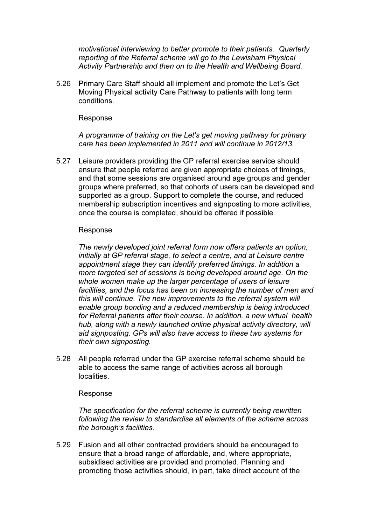*motivational interviewing to better promote to their patients. Quarterly reporting of the Referral scheme will go to the Lewisham Physical Activity Partnership and then on to the Health and Wellbeing Board.* 

5.26 Primary Care Staff should all implement and promote the Let's Get Moving Physical activity Care Pathway to patients with long term conditions.

## Response

*A programme of training on the Let's get moving pathway for primary care has been implemented in 2011 and will continue in 2012/13.* 

5.27 Leisure providers providing the GP referral exercise service should ensure that people referred are given appropriate choices of timings, and that some sessions are organised around age groups and gender groups where preferred, so that cohorts of users can be developed and supported as a group. Support to complete the course, and reduced membership subscription incentives and signposting to more activities, once the course is completed, should be offered if possible.

## Response

*The newly developed joint referral form now offers patients an option, initially at GP referral stage, to select a centre, and at Leisure centre appointment stage they can identify preferred timings. In addition a more targeted set of sessions is being developed around age. On the whole women make up the larger percentage of users of leisure facilities, and the focus has been on increasing the number of men and this will continue. The new improvements to the referral system will enable group bonding and a reduced membership is being introduced for Referral patients after their course. In addition, a new virtual health hub, along with a newly launched online physical activity directory, will aid signposting. GPs will also have access to these two systems for their own signposting.* 

5.28 All people referred under the GP exercise referral scheme should be able to access the same range of activities across all borough localities.

## Response

*The specification for the referral scheme is currently being rewritten following the review to standardise all elements of the scheme across the borough's facilities.* 

5.29 Fusion and all other contracted providers should be encouraged to ensure that a broad range of affordable, and, where appropriate, subsidised activities are provided and promoted. Planning and promoting those activities should, in part, take direct account of the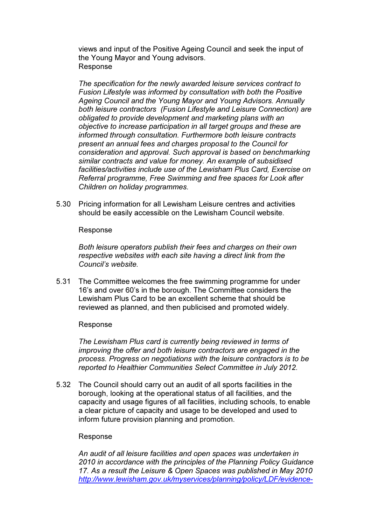views and input of the Positive Ageing Council and seek the input of the Young Mayor and Young advisors. Response

*The specification for the newly awarded leisure services contract to Fusion Lifestyle was informed by consultation with both the Positive Ageing Council and the Young Mayor and Young Advisors. Annually both leisure contractors (Fusion Lifestyle and Leisure Connection) are obligated to provide development and marketing plans with an objective to increase participation in all target groups and these are informed through consultation. Furthermore both leisure contracts present an annual fees and charges proposal to the Council for consideration and approval. Such approval is based on benchmarking similar contracts and value for money. An example of subsidised facilities/activities include use of the Lewisham Plus Card, Exercise on Referral programme, Free Swimming and free spaces for Look after Children on holiday programmes.* 

5.30 Pricing information for all Lewisham Leisure centres and activities should be easily accessible on the Lewisham Council website.

## Response

*Both leisure operators publish their fees and charges on their own respective websites with each site having a direct link from the Council's website.* 

5.31 The Committee welcomes the free swimming programme for under 16's and over 60's in the borough. The Committee considers the Lewisham Plus Card to be an excellent scheme that should be reviewed as planned, and then publicised and promoted widely.

## Response

*The Lewisham Plus card is currently being reviewed in terms of improving the offer and both leisure contractors are engaged in the process. Progress on negotiations with the leisure contractors is to be reported to Healthier Communities Select Committee in July 2012.* 

5.32 The Council should carry out an audit of all sports facilities in the borough, looking at the operational status of all facilities, and the capacity and usage figures of all facilities, including schools, to enable a clear picture of capacity and usage to be developed and used to inform future provision planning and promotion.

## Response

*An audit of all leisure facilities and open spaces was undertaken in 2010 in accordance with the principles of the Planning Policy Guidance 17. As a result the Leisure & Open Spaces was published in May 2010 http://www.lewisham.gov.uk/myservices/planning/policy/LDF/evidence-*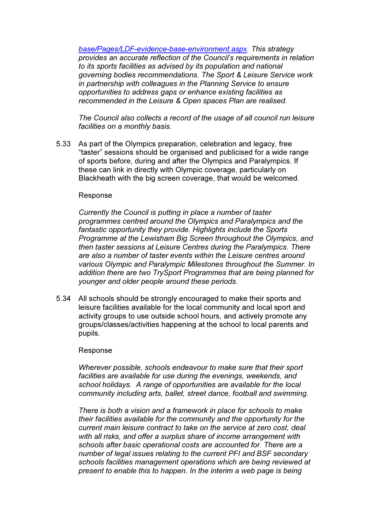*base/Pages/LDF-evidence-base-environment.aspx. This strategy provides an accurate reflection of the Council's requirements in relation to its sports facilities as advised by its population and national governing bodies recommendations. The Sport & Leisure Service work in partnership with colleagues in the Planning Service to ensure opportunities to address gaps or enhance existing facilities as recommended in the Leisure & Open spaces Plan are realised.* 

*The Council also collects a record of the usage of all council run leisure facilities on a monthly basis.* 

5.33 As part of the Olympics preparation, celebration and legacy, free "taster" sessions should be organised and publicised for a wide range of sports before, during and after the Olympics and Paralympics. If these can link in directly with Olympic coverage, particularly on Blackheath with the big screen coverage, that would be welcomed.

#### Response

*Currently the Council is putting in place a number of taster programmes centred around the Olympics and Paralympics and the fantastic opportunity they provide. Highlights include the Sports Programme at the Lewisham Big Screen throughout the Olympics, and then taster sessions at Leisure Centres during the Paralympics. There are also a number of taster events within the Leisure centres around various Olympic and Paralympic Milestones throughout the Summer. In addition there are two TrySport Programmes that are being planned for younger and older people around these periods.* 

5.34 All schools should be strongly encouraged to make their sports and leisure facilities available for the local community and local sport and activity groups to use outside school hours, and actively promote any groups/classes/activities happening at the school to local parents and pupils.

#### Response

*Wherever possible, schools endeavour to make sure that their sport facilities are available for use during the evenings, weekends, and school holidays. A range of opportunities are available for the local community including arts, ballet, street dance, football and swimming.* 

*There is both a vision and a framework in place for schools to make their facilities available for the community and the opportunity for the current main leisure contract to take on the service at zero cost, deal with all risks, and offer a surplus share of income arrangement with schools after basic operational costs are accounted for. There are a number of legal issues relating to the current PFI and BSF secondary schools facilities management operations which are being reviewed at present to enable this to happen. In the interim a web page is being*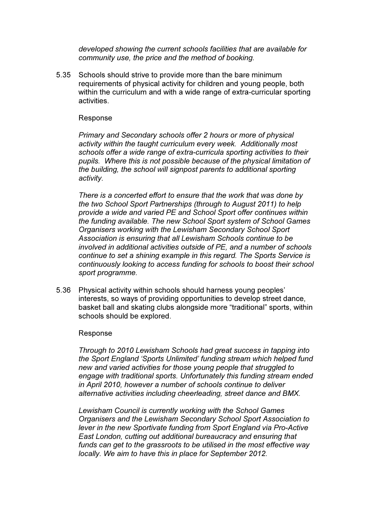*developed showing the current schools facilities that are available for community use, the price and the method of booking.* 

5.35 Schools should strive to provide more than the bare minimum requirements of physical activity for children and young people, both within the curriculum and with a wide range of extra-curricular sporting activities.

### Response

*Primary and Secondary schools offer 2 hours or more of physical activity within the taught curriculum every week. Additionally most schools offer a wide range of extra-curricula sporting activities to their pupils. Where this is not possible because of the physical limitation of the building, the school will signpost parents to additional sporting activity.* 

*There is a concerted effort to ensure that the work that was done by the two School Sport Partnerships (through to August 2011) to help provide a wide and varied PE and School Sport offer continues within the funding available. The new School Sport system of School Games Organisers working with the Lewisham Secondary School Sport Association is ensuring that all Lewisham Schools continue to be involved in additional activities outside of PE, and a number of schools continue to set a shining example in this regard. The Sports Service is continuously looking to access funding for schools to boost their school sport programme.* 

5.36 Physical activity within schools should harness young peoples' interests, so ways of providing opportunities to develop street dance, basket ball and skating clubs alongside more "traditional" sports, within schools should be explored.

#### Response

*Through to 2010 Lewisham Schools had great success in tapping into the Sport England 'Sports Unlimited' funding stream which helped fund new and varied activities for those young people that struggled to engage with traditional sports. Unfortunately this funding stream ended in April 2010, however a number of schools continue to deliver alternative activities including cheerleading, street dance and BMX.* 

*Lewisham Council is currently working with the School Games Organisers and the Lewisham Secondary School Sport Association to lever in the new Sportivate funding from Sport England via Pro-Active East London, cutting out additional bureaucracy and ensuring that funds can get to the grassroots to be utilised in the most effective way locally. We aim to have this in place for September 2012.*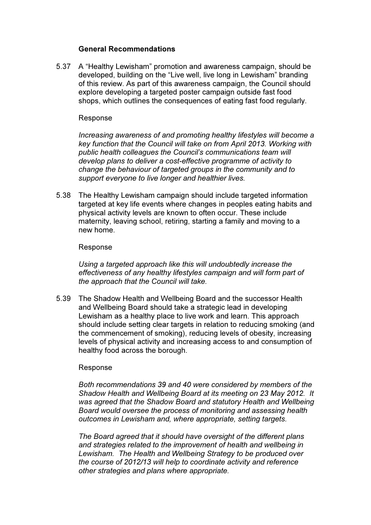## General Recommendations

5.37 A "Healthy Lewisham" promotion and awareness campaign, should be developed, building on the "Live well, live long in Lewisham" branding of this review. As part of this awareness campaign, the Council should explore developing a targeted poster campaign outside fast food shops, which outlines the consequences of eating fast food regularly.

## Response

*Increasing awareness of and promoting healthy lifestyles will become a key function that the Council will take on from April 2013. Working with public health colleagues the Council's communications team will develop plans to deliver a cost-effective programme of activity to change the behaviour of targeted groups in the community and to support everyone to live longer and healthier lives.* 

5.38 The Healthy Lewisham campaign should include targeted information targeted at key life events where changes in peoples eating habits and physical activity levels are known to often occur. These include maternity, leaving school, retiring, starting a family and moving to a new home.

## Response

*Using a targeted approach like this will undoubtedly increase the effectiveness of any healthy lifestyles campaign and will form part of the approach that the Council will take.* 

5.39 The Shadow Health and Wellbeing Board and the successor Health and Wellbeing Board should take a strategic lead in developing Lewisham as a healthy place to live work and learn. This approach should include setting clear targets in relation to reducing smoking (and the commencement of smoking), reducing levels of obesity, increasing levels of physical activity and increasing access to and consumption of healthy food across the borough.

# Response

*Both recommendations 39 and 40 were considered by members of the Shadow Health and Wellbeing Board at its meeting on 23 May 2012. It was agreed that the Shadow Board and statutory Health and Wellbeing Board would oversee the process of monitoring and assessing health outcomes in Lewisham and, where appropriate, setting targets.* 

*The Board agreed that it should have oversight of the different plans and strategies related to the improvement of health and wellbeing in Lewisham. The Health and Wellbeing Strategy to be produced over the course of 2012/13 will help to coordinate activity and reference other strategies and plans where appropriate.*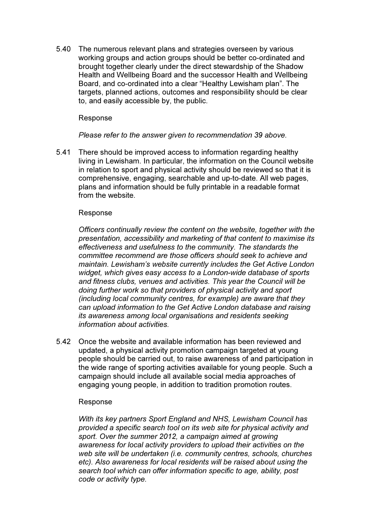5.40 The numerous relevant plans and strategies overseen by various working groups and action groups should be better co-ordinated and brought together clearly under the direct stewardship of the Shadow Health and Wellbeing Board and the successor Health and Wellbeing Board, and co-ordinated into a clear "Healthy Lewisham plan". The targets, planned actions, outcomes and responsibility should be clear to, and easily accessible by, the public.

## Response

*Please refer to the answer given to recommendation 39 above.* 

5.41 There should be improved access to information regarding healthy living in Lewisham. In particular, the information on the Council website in relation to sport and physical activity should be reviewed so that it is comprehensive, engaging, searchable and up-to-date. All web pages, plans and information should be fully printable in a readable format from the website.

## Response

*Officers continually review the content on the website, together with the presentation, accessibility and marketing of that content to maximise its effectiveness and usefulness to the community. The standards the committee recommend are those officers should seek to achieve and maintain. Lewisham's website currently includes the Get Active London widget, which gives easy access to a London-wide database of sports and fitness clubs, venues and activities. This year the Council will be doing further work so that providers of physical activity and sport (including local community centres, for example) are aware that they can upload information to the Get Active London database and raising its awareness among local organisations and residents seeking information about activities.* 

5.42 Once the website and available information has been reviewed and updated, a physical activity promotion campaign targeted at young people should be carried out, to raise awareness of and participation in the wide range of sporting activities available for young people. Such a campaign should include all available social media approaches of engaging young people, in addition to tradition promotion routes.

# Response

*With its key partners Sport England and NHS, Lewisham Council has provided a specific search tool on its web site for physical activity and sport. Over the summer 2012, a campaign aimed at growing awareness for local activity providers to upload their activities on the web site will be undertaken (i.e. community centres, schools, churches etc). Also awareness for local residents will be raised about using the search tool which can offer information specific to age, ability, post code or activity type.*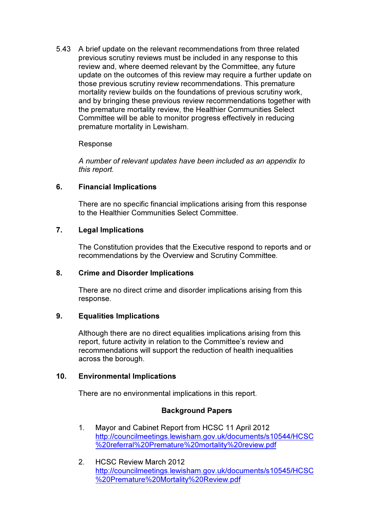5.43 A brief update on the relevant recommendations from three related previous scrutiny reviews must be included in any response to this review and, where deemed relevant by the Committee, any future update on the outcomes of this review may require a further update on those previous scrutiny review recommendations. This premature mortality review builds on the foundations of previous scrutiny work, and by bringing these previous review recommendations together with the premature mortality review, the Healthier Communities Select Committee will be able to monitor progress effectively in reducing premature mortality in Lewisham.

# Response

*A number of relevant updates have been included as an appendix to this report.* 

# 6. Financial Implications

There are no specific financial implications arising from this response to the Healthier Communities Select Committee.

# 7. Legal Implications

The Constitution provides that the Executive respond to reports and or recommendations by the Overview and Scrutiny Committee.

# 8. Crime and Disorder Implications

There are no direct crime and disorder implications arising from this response.

# 9. Equalities Implications

Although there are no direct equalities implications arising from this report, future activity in relation to the Committee's review and recommendations will support the reduction of health inequalities across the borough.

# 10. Environmental Implications

There are no environmental implications in this report.

# Background Papers

- 1. Mayor and Cabinet Report from HCSC 11 April 2012 http://councilmeetings.lewisham.gov.uk/documents/s10544/HCSC %20referral%20Premature%20mortality%20review.pdf
- 2. HCSC Review March 2012 http://councilmeetings.lewisham.gov.uk/documents/s10545/HCSC %20Premature%20Mortality%20Review.pdf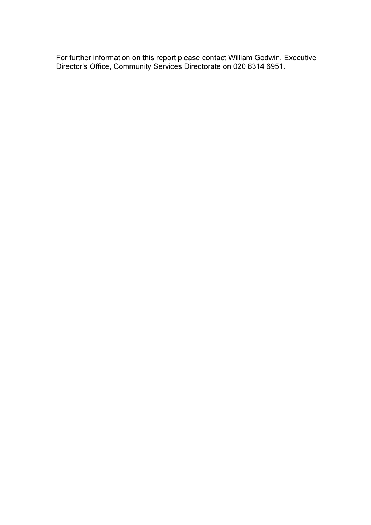For further information on this report please contact William Godwin, Executive Director's Office, Community Services Directorate on 020 8314 6951.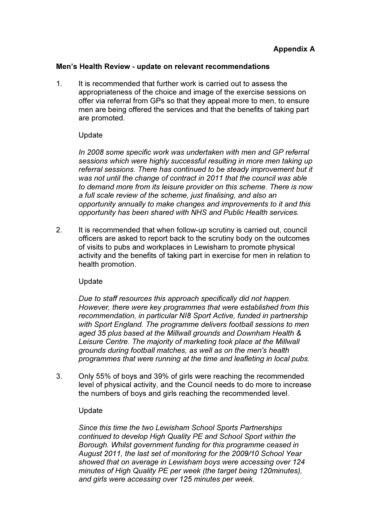## Men's Health Review - update on relevant recommendations

1. It is recommended that further work is carried out to assess the appropriateness of the choice and image of the exercise sessions on offer via referral from GPs so that they appeal more to men, to ensure men are being offered the services and that the benefits of taking part are promoted.

# Update

*In 2008 some specific work was undertaken with men and GP referral sessions which were highly successful resulting in more men taking up referral sessions. There has continued to be steady improvement but it was not until the change of contract in 2011 that the council was able to demand more from its leisure provider on this scheme. There is now a full scale review of the scheme, just finalising, and also an opportunity annually to make changes and improvements to it and this opportunity has been shared with NHS and Public Health services.* 

2. It is recommended that when follow-up scrutiny is carried out, council officers are asked to report back to the scrutiny body on the outcomes of visits to pubs and workplaces in Lewisham to promote physical activity and the benefits of taking part in exercise for men in relation to health promotion.

# Update

*Due to staff resources this approach specifically did not happen. However, there were key programmes that were established from this recommendation, in particular NI8 Sport Active, funded in partnership with Sport England. The programme delivers football sessions to men aged 35 plus based at the Millwall grounds and Downham Health & Leisure Centre. The majority of marketing took place at the Millwall grounds during football matches, as well as on the men's health programmes that were running at the time and leafleting in local pubs.* 

3. Only 55% of boys and 39% of girls were reaching the recommended level of physical activity, and the Council needs to do more to increase the numbers of boys and girls reaching the recommended level.

# Update

*Since this time the two Lewisham School Sports Partnerships continued to develop High Quality PE and School Sport within the Borough. Whilst government funding for this programme ceased in August 2011, the last set of monitoring for the 2009/10 School Year showed that on average in Lewisham boys were accessing over 124 minutes of High Quality PE per week (the target being 120minutes), and girls were accessing over 125 minutes per week.*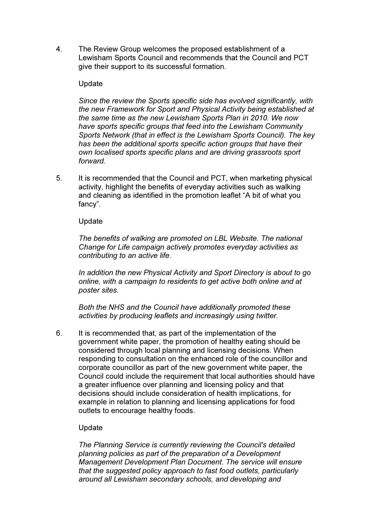4. The Review Group welcomes the proposed establishment of a Lewisham Sports Council and recommends that the Council and PCT give their support to its successful formation.

## Update

*Since the review the Sports specific side has evolved significantly, with the new Framework for Sport and Physical Activity being established at the same time as the new Lewisham Sports Plan in 2010. We now have sports specific groups that feed into the Lewisham Community Sports Network (that in effect is the Lewisham Sports Council). The key has been the additional sports specific action groups that have their own localised sports specific plans and are driving grassroots sport forward.* 

5. It is recommended that the Council and PCT, when marketing physical activity, highlight the benefits of everyday activities such as walking and cleaning as identified in the promotion leaflet "A bit of what you fancy".

## Update

*The benefits of walking are promoted on LBL Website. The national Change for Life campaign actively promotes everyday activities as contributing to an active life.* 

*In addition the new Physical Activity and Sport Directory is about to go online, with a campaign to residents to get active both online and at poster sites.* 

*Both the NHS and the Council have additionally promoted these activities by producing leaflets and increasingly using twitter.* 

6. It is recommended that, as part of the implementation of the government white paper, the promotion of healthy eating should be considered through local planning and licensing decisions. When responding to consultation on the enhanced role of the councillor and corporate councillor as part of the new government white paper, the Council could include the requirement that local authorities should have a greater influence over planning and licensing policy and that decisions should include consideration of health implications, for example in relation to planning and licensing applications for food outlets to encourage healthy foods.

# Update

*The Planning Service is currently reviewing the Council's detailed planning policies as part of the preparation of a Development Management Development Plan Document. The service will ensure that the suggested policy approach to fast food outlets, particularly around all Lewisham secondary schools, and developing and*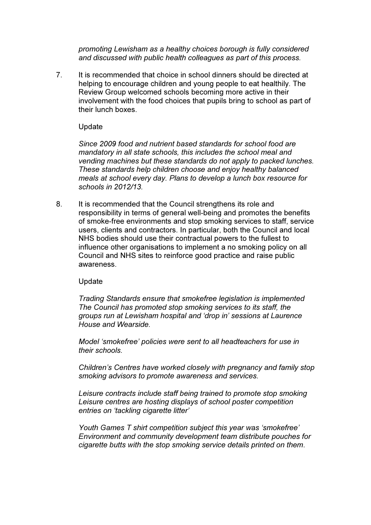*promoting Lewisham as a healthy choices borough is fully considered and discussed with public health colleagues as part of this process.* 

7. It is recommended that choice in school dinners should be directed at helping to encourage children and young people to eat healthily. The Review Group welcomed schools becoming more active in their involvement with the food choices that pupils bring to school as part of their lunch boxes.

## Update

*Since 2009 food and nutrient based standards for school food are mandatory in all state schools, this includes the school meal and vending machines but these standards do not apply to packed lunches. These standards help children choose and enjoy healthy balanced meals at school every day. Plans to develop a lunch box resource for schools in 2012/13.* 

8. It is recommended that the Council strengthens its role and responsibility in terms of general well-being and promotes the benefits of smoke-free environments and stop smoking services to staff, service users, clients and contractors. In particular, both the Council and local NHS bodies should use their contractual powers to the fullest to influence other organisations to implement a no smoking policy on all Council and NHS sites to reinforce good practice and raise public awareness.

## Update

*Trading Standards ensure that smokefree legislation is implemented The Council has promoted stop smoking services to its staff, the groups run at Lewisham hospital and 'drop in' sessions at Laurence House and Wearside.* 

*Model 'smokefree' policies were sent to all headteachers for use in their schools.* 

*Children's Centres have worked closely with pregnancy and family stop smoking advisors to promote awareness and services.* 

*Leisure contracts include staff being trained to promote stop smoking Leisure centres are hosting displays of school poster competition entries on 'tackling cigarette litter'* 

*Youth Games T shirt competition subject this year was 'smokefree' Environment and community development team distribute pouches for cigarette butts with the stop smoking service details printed on them*.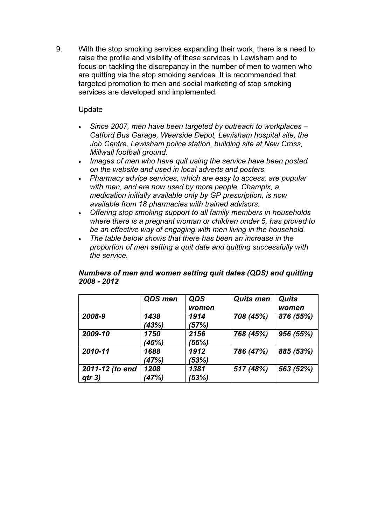9. With the stop smoking services expanding their work, there is a need to raise the profile and visibility of these services in Lewisham and to focus on tackling the discrepancy in the number of men to women who are quitting via the stop smoking services. It is recommended that targeted promotion to men and social marketing of stop smoking services are developed and implemented.

# Update

- *Since 2007, men have been targeted by outreach to workplaces Catford Bus Garage, Wearside Depot, Lewisham hospital site, the Job Centre, Lewisham police station, building site at New Cross, Millwall football ground.*
- *Images of men who have quit using the service have been posted on the website and used in local adverts and posters.*
- *Pharmacy advice services, which are easy to access, are popular with men, and are now used by more people. Champix, a medication initially available only by GP prescription, is now available from 18 pharmacies with trained advisors.*
- *Offering stop smoking support to all family members in households where there is a pregnant woman or children under 5, has proved to be an effective way of engaging with men living in the household.*
- *The table below shows that there has been an increase in the proportion of men setting a quit date and quitting successfully with the service.*

|                           | <b>QDS</b> men | <b>QDS</b><br>women | <b>Quits men</b> | <b>Quits</b><br>women |
|---------------------------|----------------|---------------------|------------------|-----------------------|
| 2008-9                    | 1438<br>(43%)  | 1914<br>(57%)       | 708 (45%)        | 876 (55%)             |
| 2009-10                   | 1750<br>(45%)  | 2156<br>(55%)       | 768 (45%)        | 956 (55%)             |
| 2010-11                   | 1688<br>(47%)  | 1912<br>(53%)       | 786 (47%)        | 885 (53%)             |
| 2011-12 (to end<br>qtr 3) | 1208<br>(47%)  | 1381<br>(53%)       | 517 (48%)        | 563 (52%)             |

# Numbers of men and women setting quit dates (QDS) and quitting 2008 - 2012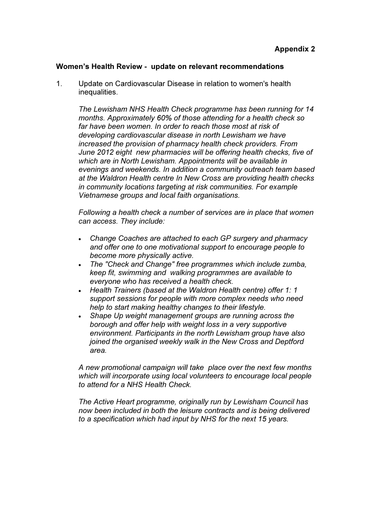## Women's Health Review - update on relevant recommendations

1. Update on Cardiovascular Disease in relation to women's health inequalities.

*The Lewisham NHS Health Check programme has been running for 14 months. Approximately 60% of those attending for a health check so far have been women. In order to reach those most at risk of developing cardiovascular disease in north Lewisham we have increased the provision of pharmacy health check providers. From June 2012 eight new pharmacies will be offering health checks, five of which are in North Lewisham. Appointments will be available in evenings and weekends. In addition a community outreach team based at the Waldron Health centre In New Cross are providing health checks in community locations targeting at risk communities. For example Vietnamese groups and local faith organisations.* 

*Following a health check a number of services are in place that women can access. They include:* 

- *Change Coaches are attached to each GP surgery and pharmacy and offer one to one motivational support to encourage people to become more physically active.*
- *The "Check and Change" free programmes which include zumba, keep fit, swimming and walking programmes are available to everyone who has received a health check.*
- *Health Trainers (based at the Waldron Health centre) offer 1: 1 support sessions for people with more complex needs who need help to start making healthy changes to their lifestyle.*
- *Shape Up weight management groups are running across the borough and offer help with weight loss in a very supportive environment. Participants in the north Lewisham group have also joined the organised weekly walk in the New Cross and Deptford area.*

*A new promotional campaign will take place over the next few months which will incorporate using local volunteers to encourage local people to attend for a NHS Health Check.* 

*The Active Heart programme, originally run by Lewisham Council has now been included in both the leisure contracts and is being delivered to a specification which had input by NHS for the next 15 years.*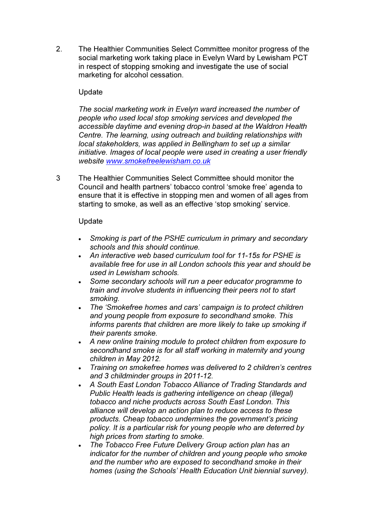2. The Healthier Communities Select Committee monitor progress of the social marketing work taking place in Evelyn Ward by Lewisham PCT in respect of stopping smoking and investigate the use of social marketing for alcohol cessation.

# Update

*The social marketing work in Evelyn ward increased the number of people who used local stop smoking services and developed the accessible daytime and evening drop-in based at the Waldron Health Centre. The learning, using outreach and building relationships with local stakeholders, was applied in Bellingham to set up a similar initiative. Images of local people were used in creating a user friendly website www.smokefreelewisham.co.uk*

3 The Healthier Communities Select Committee should monitor the Council and health partners' tobacco control 'smoke free' agenda to ensure that it is effective in stopping men and women of all ages from starting to smoke, as well as an effective 'stop smoking' service.

## Update

- *Smoking is part of the PSHE curriculum in primary and secondary schools and this should continue.*
- *An interactive web based curriculum tool for 11-15s for PSHE is available free for use in all London schools this year and should be used in Lewisham schools.*
- *Some secondary schools will run a peer educator programme to train and involve students in influencing their peers not to start smoking.*
- *The 'Smokefree homes and cars' campaign is to protect children and young people from exposure to secondhand smoke. This informs parents that children are more likely to take up smoking if their parents smoke.*
- *A new online training module to protect children from exposure to secondhand smoke is for all staff working in maternity and young children in May 2012.*
- *Training on smokefree homes was delivered to 2 children's centres and 3 childminder groups in 2011-12.*
- *A South East London Tobacco Alliance of Trading Standards and Public Health leads is gathering intelligence on cheap (illegal) tobacco and niche products across South East London. This alliance will develop an action plan to reduce access to these products. Cheap tobacco undermines the government's pricing policy. It is a particular risk for young people who are deterred by high prices from starting to smoke.*
- *The Tobacco Free Future Delivery Group action plan has an indicator for the number of children and young people who smoke and the number who are exposed to secondhand smoke in their homes (using the Schools' Health Education Unit biennial survey).*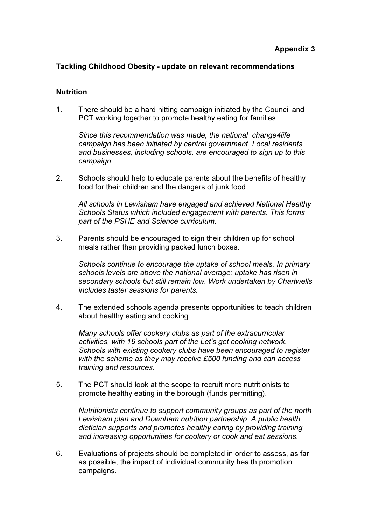## Tackling Childhood Obesity - update on relevant recommendations

## **Nutrition**

1. There should be a hard hitting campaign initiated by the Council and PCT working together to promote healthy eating for families.

*Since this recommendation was made, the national change4life campaign has been initiated by central government. Local residents and businesses, including schools, are encouraged to sign up to this campaign.* 

2. Schools should help to educate parents about the benefits of healthy food for their children and the dangers of junk food.

*All schools in Lewisham have engaged and achieved National Healthy Schools Status which included engagement with parents. This forms part of the PSHE and Science curriculum.* 

3. Parents should be encouraged to sign their children up for school meals rather than providing packed lunch boxes.

*Schools continue to encourage the uptake of school meals. In primary schools levels are above the national average; uptake has risen in secondary schools but still remain low. Work undertaken by Chartwells includes taster sessions for parents.* 

4. The extended schools agenda presents opportunities to teach children about healthy eating and cooking.

*Many schools offer cookery clubs as part of the extracurricular activities, with 16 schools part of the Let's get cooking network. Schools with existing cookery clubs have been encouraged to register with the scheme as they may receive £500 funding and can access training and resources.* 

5. The PCT should look at the scope to recruit more nutritionists to promote healthy eating in the borough (funds permitting).

*Nutritionists continue to support community groups as part of the north Lewisham plan and Downham nutrition partnership. A public health dietician supports and promotes healthy eating by providing training and increasing opportunities for cookery or cook and eat sessions.* 

6. Evaluations of projects should be completed in order to assess, as far as possible, the impact of individual community health promotion campaigns.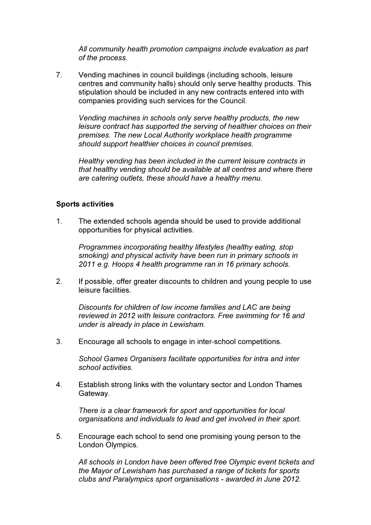*All community health promotion campaigns include evaluation as part of the process.* 

7. Vending machines in council buildings (including schools, leisure centres and community halls) should only serve healthy products. This stipulation should be included in any new contracts entered into with companies providing such services for the Council.

*Vending machines in schools only serve healthy products, the new leisure contract has supported the serving of healthier choices on their premises. The new Local Authority workplace health programme should support healthier choices in council premises.* 

*Healthy vending has been included in the current leisure contracts in that healthy vending should be available at all centres and where there are catering outlets, these should have a healthy menu.*

## Sports activities

1. The extended schools agenda should be used to provide additional opportunities for physical activities.

*Programmes incorporating healthy lifestyles (healthy eating, stop smoking) and physical activity have been run in primary schools in 2011 e.g. Hoops 4 health programme ran in 16 primary schools.* 

2. If possible, offer greater discounts to children and young people to use leisure facilities.

*Discounts for children of low income families and LAC are being reviewed in 2012 with leisure contractors. Free swimming for 16 and under is already in place in Lewisham.* 

3. Encourage all schools to engage in inter-school competitions.

*School Games Organisers facilitate opportunities for intra and inter school activities.* 

4. Establish strong links with the voluntary sector and London Thames Gateway.

*There is a clear framework for sport and opportunities for local organisations and individuals to lead and get involved in their sport.* 

5. Encourage each school to send one promising young person to the London Olympics.

*All schools in London have been offered free Olympic event tickets and the Mayor of Lewisham has purchased a range of tickets for sports clubs and Paralympics sport organisations - awarded in June 2012.*